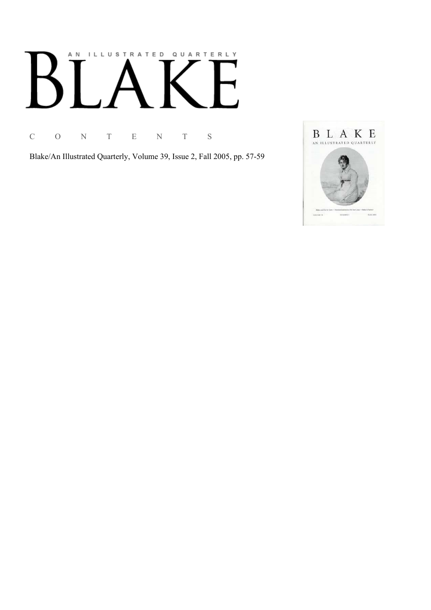# AN ILLUSTRATED QUARTERLY

C O N T E N T S

Blake/An Illustrated Quarterly, Volume 39, Issue 2, Fall 2005, pp. 57-59

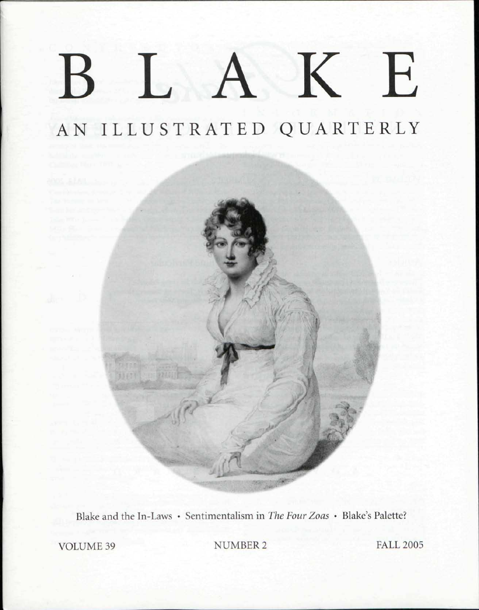## $\bf K$ E  $\Gamma$

## AN ILLUSTRATED QUARTERLY

*\** 

>

s *f-*



VOLUME 39 NUMBER 2 FALL 2005

*m*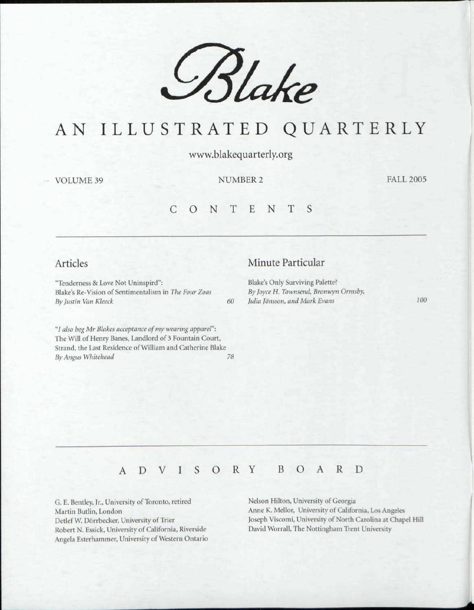

## AN ILLUSTRATED QUARTERLY

www.blakequarterly.org

VOLUME 39 NUMBER 2

FALL 2005

#### CONTENT S

#### Articles

"Tenderness & Love Not Uninspird": Blake's Re-Vision of Sentimentalism in *The Four Zoas By Justin Van Kleeck 60* 

"/ *also beg Mr Makes acceptance of my wearing apparel":*  The Will of Henry Banes, Landlord of 3 Fountain Court, Strand, the Last Residence of William and Catherine Blake *By Angus Whitehead 78* 

#### Minute Particular

Blake's Only Surviving Palette? By Joyce H. Townsend, Bronwyn Ormsby, *lulia Jonsson, and Mark Evans 100* 

### ADVISOR Y BOAR D

G. E. Bentley, Jr., University of Toronto, retired Martin Butlin, London Detlef W. Dorrbecker, University of Trier Robert N. Essick, University of California, Riverside Angela Fsterhammer, University of Western Ontario Nelson Hilton, University of Georgia Anne K. Mellor, University of California, Los Angeles Joseph Viscomi, University of North Carolina at Chapel Hill David Worrall, The Nottingham Trent University